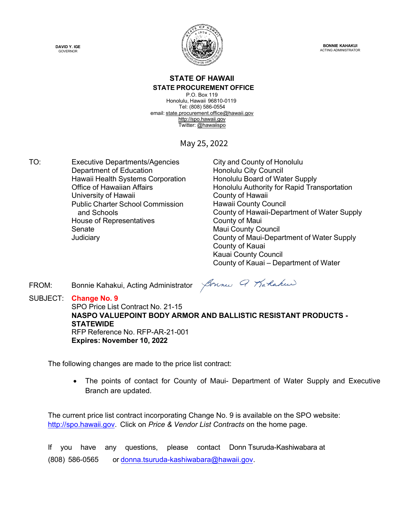



**BONNIE KAHAKUI** ACTING ADMINISTRATOR

#### **STATE OF HAWAII STATE PROCUREMENT OFFICE**

P.O. Box 119 Honolulu, Hawaii 96810-0119 Tel: (808) 586-0554 email[: state.procurement.office@hawaii.gov](mailto:state.procurement.office@hawaii.gov) [http://spo.hawaii.gov](http://spo.hawaii.gov/) Twitter: @hawaiispo

May 25, 2022

TO: Executive Departments/Agencies City and County of Honolulu Department of Education **Honolulu City Council** Hawaii Health Systems Corporation Furn and all Honolulu Board of Water Supply<br>Office of Hawaiian Affairs Furn and Monolulu Authority for Rapid Tran University of Hawaii **County of Hawaii** County of Hawaii Public Charter School Commission and Schools House of Representatives **County of Maui** Senate Maui County Council

Honolulu Authority for Rapid Transportation Hawaii County Council County of Hawaii-Department of Water Supply Judiciary County of Maui-Department of Water Supply County of Kauai Kauai County Council County of Kauai – Department of Water

FROM: Bonnie Kahakui, Acting Administrator

Sounce Q Karlakee

SUBJECT: **Change No. 9** SPO Price List Contract No. 21-15 **NASPO VALUEPOINT BODY ARMOR AND BALLISTIC RESISTANT PRODUCTS - STATEWIDE** RFP Reference No. RFP-AR-21-001 **Expires: November 10, 2022**

The following changes are made to the price list contract:

• The points of contact for County of Maui- Department of Water Supply and Executive Branch are updated.

The current price list contract incorporating Change No. 9 is available on the SPO website: [http://spo.hawaii.gov.](http://spo.hawaii.gov/) Click on *Price & Vendor List Contracts* on the home page.

If you have any questions, please contact Donn Tsuruda-Kashiwabara at (808) 586-0565 or [donna.tsuruda-kashiwabara@hawaii.gov.](mailto:donna.tsuruda-kashiwabara@hawaii.gov)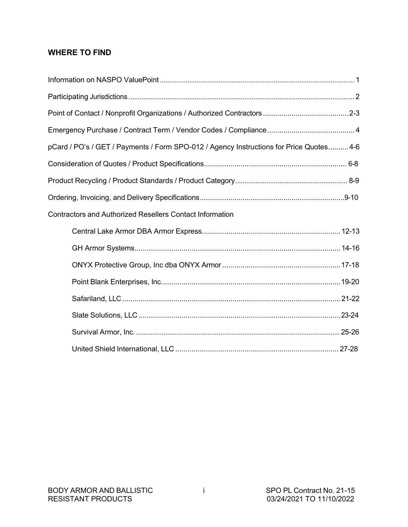### **WHERE TO FIND**

| pCard / PO's / GET / Payments / Form SPO-012 / Agency Instructions for Price Quotes 4-6 |
|-----------------------------------------------------------------------------------------|
|                                                                                         |
|                                                                                         |
|                                                                                         |
| <b>Contractors and Authorized Resellers Contact Information</b>                         |
|                                                                                         |
|                                                                                         |
|                                                                                         |
|                                                                                         |
|                                                                                         |
|                                                                                         |
|                                                                                         |
|                                                                                         |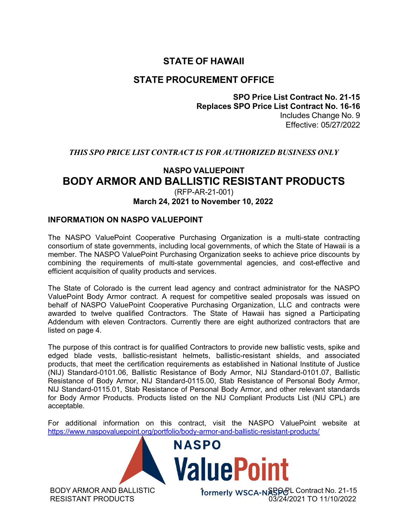### **STATE OF HAWAII**

### **STATE PROCUREMENT OFFICE**

**SPO Price List Contract No. 21-15 Replaces SPO Price List Contract No. 16-16** Includes Change No. 9 Effective: 05/27/2022

#### *THIS SPO PRICE LIST CONTRACT IS FOR AUTHORIZED BUSINESS ONLY*

#### **NASPO VALUEPOINT BODY ARMOR AND BALLISTIC RESISTANT PRODUCTS** (RFP-AR-21-001) **March 24, 2021 to November 10, 2022**

#### **INFORMATION ON NASPO VALUEPOINT**

The NASPO ValuePoint Cooperative Purchasing Organization is a multi-state contracting consortium of state governments, including local governments, of which the State of Hawaii is a member. The NASPO ValuePoint Purchasing Organization seeks to achieve price discounts by combining the requirements of multi-state governmental agencies, and cost-effective and efficient acquisition of quality products and services.

The State of Colorado is the current lead agency and contract administrator for the NASPO ValuePoint Body Armor contract. A request for competitive sealed proposals was issued on behalf of NASPO ValuePoint Cooperative Purchasing Organization, LLC and contracts were awarded to twelve qualified Contractors. The State of Hawaii has signed a Participating Addendum with eleven Contractors. Currently there are eight authorized contractors that are listed on page 4.

The purpose of this contract is for qualified Contractors to provide new ballistic vests, spike and edged blade vests, ballistic-resistant helmets, ballistic-resistant shields, and associated products, that meet the certification requirements as established in National Institute of Justice (NIJ) Standard-0101.06, Ballistic Resistance of Body Armor, NIJ Standard-0101.07, Ballistic Resistance of Body Armor, NIJ Standard-0115.00, Stab Resistance of Personal Body Armor, NIJ Standard-0115.01, Stab Resistance of Personal Body Armor, and other relevant standards for Body Armor Products. Products listed on the NIJ Compliant Products List (NIJ CPL) are acceptable.

For additional information on this contract, visit the NASPO ValuePoint website at https:/[/www.naspovaluepoint.org/portfolio/body-armor-and-ballistic-resistant-products/](http://www.naspovaluepoint.org/portfolio/body-armor-and-ballistic-resistant-products/)



BODY ARMOR AND BALLISTIC RESISTANT PRODUCTS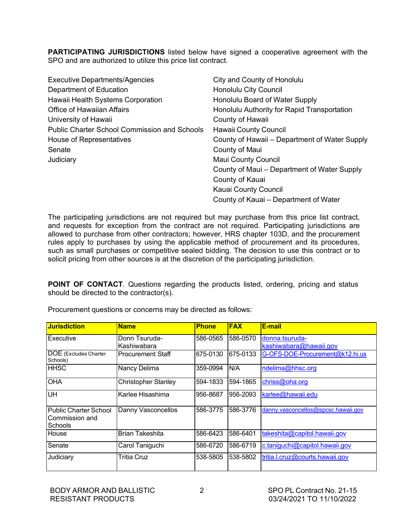**PARTICIPATING JURISDICTIONS** listed below have signed a cooperative agreement with the SPO and are authorized to utilize this price list contract.

| <b>Executive Departments/Agencies</b>               | City and County of Honolulu                   |
|-----------------------------------------------------|-----------------------------------------------|
| Department of Education                             | Honolulu City Council                         |
| Hawaii Health Systems Corporation                   | Honolulu Board of Water Supply                |
| <b>Office of Hawaiian Affairs</b>                   | Honolulu Authority for Rapid Transportation   |
| University of Hawaii                                | County of Hawaii                              |
| <b>Public Charter School Commission and Schools</b> | <b>Hawaii County Council</b>                  |
| House of Representatives                            | County of Hawaii – Department of Water Supply |
| Senate                                              | County of Maui                                |
| Judiciary                                           | <b>Maui County Council</b>                    |
|                                                     | County of Maui – Department of Water Supply   |
|                                                     | County of Kauai                               |
|                                                     | Kauai County Council                          |
|                                                     | County of Kauai - Department of Water         |

The participating jurisdictions are not required but may purchase from this price list contract, and requests for exception from the contract are not required. Participating jurisdictions are allowed to purchase from other contractors; however, HRS chapter 103D, and the procurement rules apply to purchases by using the applicable method of procurement and its procedures, such as small purchases or competitive sealed bidding. The decision to use this contract or to solicit pricing from other sources is at the discretion of the participating jurisdiction.

**POINT OF CONTACT**. Questions regarding the products listed, ordering, pricing and status should be directed to the contractor(s).

| <b>Jurisdiction</b>                                              | <b>Name</b>                  | <b>Phone</b> | <b>FAX</b> | E-mail                                   |
|------------------------------------------------------------------|------------------------------|--------------|------------|------------------------------------------|
| Executive                                                        | Donn Tsuruda-<br>Kashiwabara | 586-0565     | 586-0570   | donna.tsuruda-<br>kashiwabara@hawaii.gov |
| DOE (Excludes Charter<br>Schools)                                | <b>Procurement Staff</b>     | 675-0130     | 675-0133   | G-OFS-DOE-Procurement@k12.hi.us          |
| <b>HHSC</b>                                                      | <b>Nancy Delima</b>          | 359-0994     | N/A        | ndelima@hhsc.org                         |
| <b>OHA</b>                                                       | <b>Christopher Stanley</b>   | 594-1833     | 594-1865   | chriss@oha.org                           |
| UH                                                               | Karlee Hisashima             | 956-8687     | 956-2093   | karlee@hawaii.edu                        |
| <b>Public Charter School</b><br>Commission and<br><b>Schools</b> | Danny Vasconcellos           | 586-3775     | 586-3776   | danny.vasconcellos@spcsc.hawaii.gov      |
| House                                                            | <b>Brian Takeshita</b>       | 586-6423     | 586-6401   | takeshita@capitol.hawaii.gov             |
| Senate                                                           | Carol Taniguchi              | 586-6720     | 586-6719   | c.taniguchi@capitol.hawaii.gov           |
| Judiciary                                                        | Tritia Cruz                  | 538-5805     | 538-5802   | tritia.l.cruz@courts.hawaii.gov          |

Procurement questions or concerns may be directed as follows: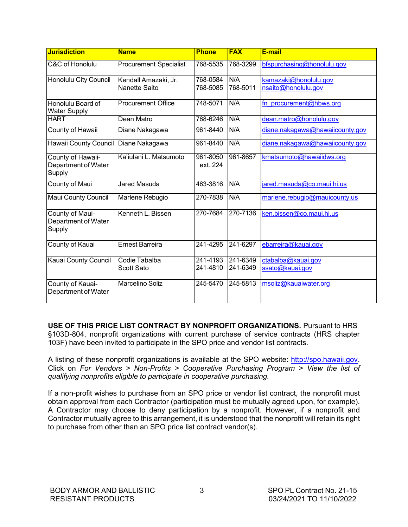| <b>Jurisdiction</b>                                | <b>Name</b>                           | <b>Phone</b>         | <b>FAX</b>           | E-mail                                       |
|----------------------------------------------------|---------------------------------------|----------------------|----------------------|----------------------------------------------|
| C&C of Honolulu                                    | <b>Procurement Specialist</b>         | 768-5535             | 768-3299             | bfspurchasing@honolulu.gov                   |
| Honolulu City Council                              | Kendall Amazaki, Jr.<br>Nanette Saito | 768-0584<br>768-5085 | N/A<br>768-5011      | kamazaki@honolulu.gov<br>nsaito@honolulu.gov |
| Honolulu Board of<br><b>Water Supply</b>           | Procurement Office                    | 748-5071             | N/A                  | fn procurement@hbws.org                      |
| <b>HART</b>                                        | Dean Matro                            | 768-6246             | N/A                  | dean.matro@honolulu.gov                      |
| County of Hawaii                                   | Diane Nakagawa                        | 961-8440             | N/A                  | diane.nakagawa@hawaiicounty.gov              |
| Hawaii County Council Diane Nakagawa               |                                       | 961-8440             | N/A                  | diane.nakagawa@hawaiicounty.gov              |
| County of Hawaii-<br>Department of Water<br>Supply | Ka'iulani L. Matsumoto                | 961-8050<br>ext. 224 | 961-8657             | kmatsumoto@hawaiidws.org                     |
| County of Maui                                     | <b>Jared Masuda</b>                   | 463-3816             | N/A                  | jared.masuda@co.maui.hi.us                   |
| <b>Maui County Council</b>                         | Marlene Rebugio                       | 270-7838             | N/A                  | marlene.rebugio@mauicounty.us                |
| County of Maui-<br>Department of Water<br>Supply   | Kenneth L. Bissen                     | 270-7684             | 270-7136             | ken.bissen@co.maui.hi.us                     |
| County of Kauai                                    | <b>Ernest Barreira</b>                | 241-4295             | 241-6297             | ebarreira@kauai.gov                          |
| Kauai County Council                               | Codie Tabalba<br><b>Scott Sato</b>    | 241-4193<br>241-4810 | 241-6349<br>241-6349 | ctabalba@kauai.gov<br>ssato@kauai.gov        |
| County of Kauai-<br>Department of Water            | <b>Marcelino Soliz</b>                | 245-5470             | 245-5813             | msoliz@kauaiwater.org                        |

**USE OF THIS PRICE LIST CONTRACT BY NONPROFIT ORGANIZATIONS.** Pursuant to HRS §103D-804, nonprofit organizations with current purchase of service contracts (HRS chapter 103F) have been invited to participate in the SPO price and vendor list contracts.

A listing of these nonprofit organizations is available at the SPO website: [http://spo.hawaii.gov.](http://spo.hawaii.gov/) Click on *For Vendors > Non-Profits > Cooperative Purchasing Program > View the list of qualifying nonprofits eligible to participate in cooperative purchasing.*

If a non-profit wishes to purchase from an SPO price or vendor list contract, the nonprofit must obtain approval from each Contractor (participation must be mutually agreed upon, for example). A Contractor may choose to deny participation by a nonprofit. However, if a nonprofit and Contractor mutually agree to this arrangement, it is understood that the nonprofit will retain its right to purchase from other than an SPO price list contract vendor(s).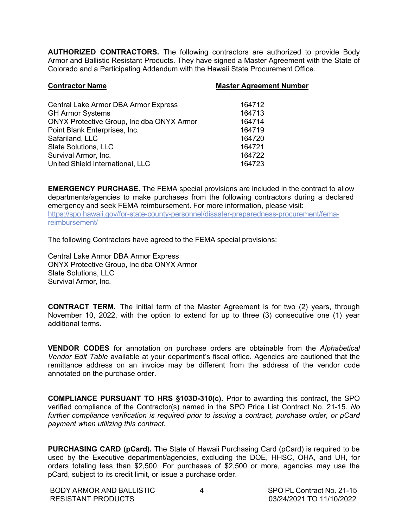**AUTHORIZED CONTRACTORS.** The following contractors are authorized to provide Body Armor and Ballistic Resistant Products. They have signed a Master Agreement with the State of Colorado and a Participating Addendum with the Hawaii State Procurement Office.

| <b>Contractor Name</b>                           | <b>Master Agreement Number</b> |
|--------------------------------------------------|--------------------------------|
|                                                  |                                |
| <b>Central Lake Armor DBA Armor Express</b>      | 164712                         |
| <b>GH Armor Systems</b>                          | 164713                         |
| <b>ONYX Protective Group, Inc dba ONYX Armor</b> | 164714                         |
| Point Blank Enterprises, Inc.                    | 164719                         |
| Safariland, LLC                                  | 164720                         |
| Slate Solutions, LLC                             | 164721                         |
| Survival Armor, Inc.                             | 164722                         |
| United Shield International, LLC                 | 164723                         |
|                                                  |                                |

**EMERGENCY PURCHASE.** The FEMA special provisions are included in the contract to allow departments/agencies to make purchases from the following contractors during a declared emergency and seek FEMA reimbursement. For more information, please visit: https://spo.hawaii.gov/for-state-county-personnel/disaster-preparedness-procurement/femareimbursement/

The following Contractors have agreed to the FEMA special provisions:

Central Lake Armor DBA Armor Express ONYX Protective Group, Inc dba ONYX Armor Slate Solutions, LLC Survival Armor, Inc.

**CONTRACT TERM.** The initial term of the Master Agreement is for two (2) years, through November 10, 2022, with the option to extend for up to three (3) consecutive one (1) year additional terms.

**VENDOR CODES** for annotation on purchase orders are obtainable from the *Alphabetical Vendor Edit Table* available at your department's fiscal office. Agencies are cautioned that the remittance address on an invoice may be different from the address of the vendor code annotated on the purchase order.

**COMPLIANCE PURSUANT TO HRS §103D-310(c).** Prior to awarding this contract, the SPO verified compliance of the Contractor(s) named in the SPO Price List Contract No. 21-15. *No further compliance verification is required prior to issuing a contract, purchase order, or pCard payment when utilizing this contract.*

**PURCHASING CARD (pCard).** The State of Hawaii Purchasing Card (pCard) is required to be used by the Executive department/agencies, excluding the DOE, HHSC, OHA, and UH, for orders totaling less than \$2,500. For purchases of \$2,500 or more, agencies may use the pCard, subject to its credit limit, or issue a purchase order.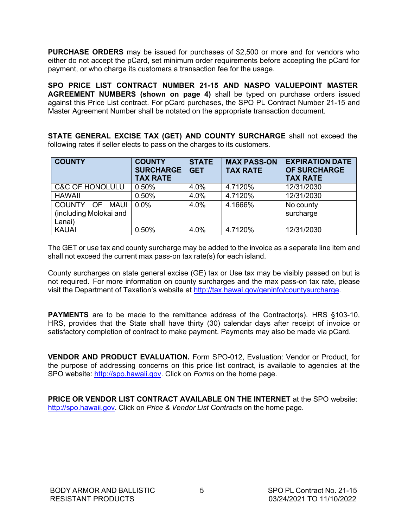**PURCHASE ORDERS** may be issued for purchases of \$2,500 or more and for vendors who either do not accept the pCard, set minimum order requirements before accepting the pCard for payment, or who charge its customers a transaction fee for the usage.

**SPO PRICE LIST CONTRACT NUMBER 21-15 AND NASPO VALUEPOINT MASTER AGREEMENT NUMBERS (shown on page 4)** shall be typed on purchase orders issued against this Price List contract. For pCard purchases, the SPO PL Contract Number 21-15 and Master Agreement Number shall be notated on the appropriate transaction document.

**STATE GENERAL EXCISE TAX (GET) AND COUNTY SURCHARGE** shall not exceed the following rates if seller elects to pass on the charges to its customers.

| <b>COUNTY</b>                                                | <b>COUNTY</b><br><b>SURCHARGE</b><br><b>TAX RATE</b> | <b>STATE</b><br><b>GET</b> | <b>MAX PASS-ON</b><br><b>TAX RATE</b> | <b>EXPIRATION DATE</b><br><b>OF SURCHARGE</b><br><b>TAX RATE</b> |
|--------------------------------------------------------------|------------------------------------------------------|----------------------------|---------------------------------------|------------------------------------------------------------------|
| <b>C&amp;C OF HONOLULU</b>                                   | 0.50%                                                | 4.0%                       | 4.7120%                               | 12/31/2030                                                       |
| <b>HAWAII</b>                                                | 0.50%                                                | 4.0%                       | 4.7120%                               | 12/31/2030                                                       |
| COUNTY OF<br><b>MAUI</b><br>(including Molokai and<br>Lanai) | 0.0%                                                 | 4.0%                       | 4.1666%                               | No county<br>surcharge                                           |
| <b>KAUAI</b>                                                 | 0.50%                                                | 4.0%                       | 4.7120%                               | 12/31/2030                                                       |

The GET or use tax and county surcharge may be added to the invoice as a separate line item and shall not exceed the current max pass-on tax rate(s) for each island.

County surcharges on state general excise (GE) tax or Use tax may be visibly passed on but is not required. For more information on county surcharges and the max pass-on tax rate, please visit the Department of Taxation's website at [http://tax.hawai.gov/geninfo/countysurcharge.](http://tax.hawai.gov/geninfo/countysurcharge)

**PAYMENTS** are to be made to the remittance address of the Contractor(s). HRS §103-10, HRS, provides that the State shall have thirty (30) calendar days after receipt of invoice or satisfactory completion of contract to make payment. Payments may also be made via pCard.

**VENDOR AND PRODUCT EVALUATION.** Form SPO-012, Evaluation: Vendor or Product, for the purpose of addressing concerns on this price list contract, is available to agencies at the SPO website: [http://spo.hawaii.gov. C](http://spo.hawaii.gov/)lick on *Forms* on the home page.

**PRICE OR VENDOR LIST CONTRACT AVAILABLE ON THE INTERNET** at the SPO website: [http://spo.hawaii.gov. C](http://spo.hawaii.gov/)lick on *Price & Vendor List Contracts* on the home page.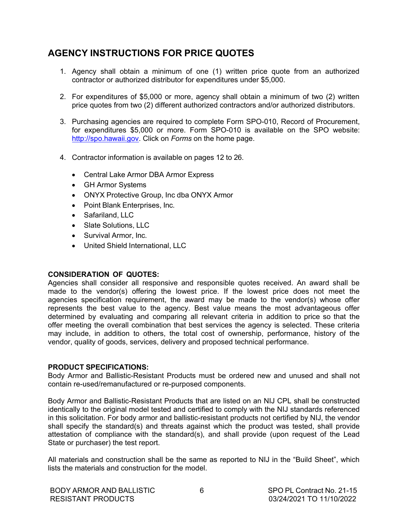### **AGENCY INSTRUCTIONS FOR PRICE QUOTES**

- 1. Agency shall obtain a minimum of one (1) written price quote from an authorized contractor or authorized distributor for expenditures under \$5,000.
- 2. For expenditures of \$5,000 or more, agency shall obtain a minimum of two (2) written price quotes from two (2) different authorized contractors and/or authorized distributors.
- 3. Purchasing agencies are required to complete Form SPO-010, Record of Procurement, for expenditures \$5,000 or more. Form SPO-010 is available on the SPO website: [http://spo.hawaii.gov. C](http://spo.hawaii.gov/)lick on *Forms* on the home page.
- 4. Contractor information is available on pages 12 to 26.
	- Central Lake Armor DBA Armor Express
	- GH Armor Systems
	- ONYX Protective Group, Inc dba ONYX Armor
	- Point Blank Enterprises, Inc.
	- Safariland, LLC
	- Slate Solutions, LLC
	- Survival Armor, Inc.
	- United Shield International, LLC

#### **CONSIDERATION OF QUOTES:**

Agencies shall consider all responsive and responsible quotes received. An award shall be made to the vendor(s) offering the lowest price. If the lowest price does not meet the agencies specification requirement, the award may be made to the vendor(s) whose offer represents the best value to the agency. Best value means the most advantageous offer determined by evaluating and comparing all relevant criteria in addition to price so that the offer meeting the overall combination that best services the agency is selected. These criteria may include, in addition to others, the total cost of ownership, performance, history of the vendor, quality of goods, services, delivery and proposed technical performance.

#### **PRODUCT SPECIFICATIONS:**

Body Armor and Ballistic-Resistant Products must be ordered new and unused and shall not contain re-used/remanufactured or re-purposed components.

Body Armor and Ballistic-Resistant Products that are listed on an NIJ CPL shall be constructed identically to the original model tested and certified to comply with the NIJ standards referenced in this solicitation. For body armor and ballistic-resistant products not certified by NIJ, the vendor shall specify the standard(s) and threats against which the product was tested, shall provide attestation of compliance with the standard(s), and shall provide (upon request of the Lead State or purchaser) the test report.

All materials and construction shall be the same as reported to NIJ in the "Build Sheet", which lists the materials and construction for the model.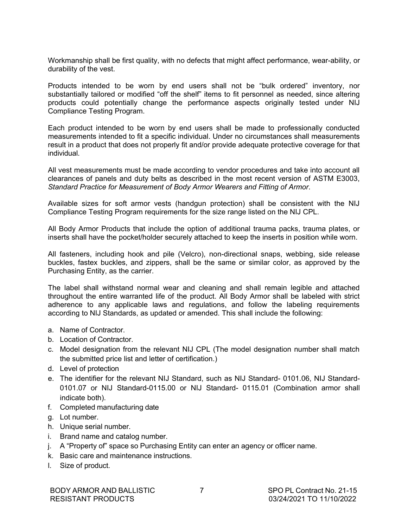Workmanship shall be first quality, with no defects that might affect performance, wear-ability, or durability of the vest.

Products intended to be worn by end users shall not be "bulk ordered" inventory, nor substantially tailored or modified "off the shelf" items to fit personnel as needed, since altering products could potentially change the performance aspects originally tested under NIJ Compliance Testing Program.

Each product intended to be worn by end users shall be made to professionally conducted measurements intended to fit a specific individual. Under no circumstances shall measurements result in a product that does not properly fit and/or provide adequate protective coverage for that individual.

All vest measurements must be made according to vendor procedures and take into account all clearances of panels and duty belts as described in the most recent version of ASTM E3003, *Standard Practice for Measurement of Body Armor Wearers and Fitting of Armor*.

Available sizes for soft armor vests (handgun protection) shall be consistent with the NIJ Compliance Testing Program requirements for the size range listed on the NIJ CPL.

All Body Armor Products that include the option of additional trauma packs, trauma plates, or inserts shall have the pocket/holder securely attached to keep the inserts in position while worn.

All fasteners, including hook and pile (Velcro), non-directional snaps, webbing, side release buckles, fastex buckles, and zippers, shall be the same or similar color, as approved by the Purchasing Entity, as the carrier.

The label shall withstand normal wear and cleaning and shall remain legible and attached throughout the entire warranted life of the product. All Body Armor shall be labeled with strict adherence to any applicable laws and regulations, and follow the labeling requirements according to NIJ Standards, as updated or amended. This shall include the following:

- a. Name of Contractor.
- b. Location of Contractor.
- c. Model designation from the relevant NIJ CPL (The model designation number shall match the submitted price list and letter of certification.)
- d. Level of protection
- e. The identifier for the relevant NIJ Standard, such as NIJ Standard- 0101.06, NIJ Standard-0101.07 or NIJ Standard-0115.00 or NIJ Standard- 0115.01 (Combination armor shall indicate both).
- f. Completed manufacturing date
- g. Lot number.
- h. Unique serial number.
- i. Brand name and catalog number.
- j. A "Property of" space so Purchasing Entity can enter an agency or officer name.
- k. Basic care and maintenance instructions.
- l. Size of product.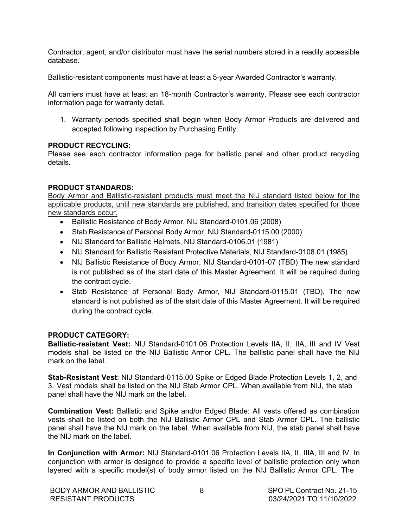Contractor, agent, and/or distributor must have the serial numbers stored in a readily accessible database.

Ballistic-resistant components must have at least a 5-year Awarded Contractor's warranty.

All carriers must have at least an 18-month Contractor's warranty. Please see each contractor information page for warranty detail.

1. Warranty periods specified shall begin when Body Armor Products are delivered and accepted following inspection by Purchasing Entity.

#### **PRODUCT RECYCLING:**

Please see each contractor information page for ballistic panel and other product recycling details.

#### **PRODUCT STANDARDS:**

Body Armor and Ballistic-resistant products must meet the NIJ standard listed below for the applicable products, until new standards are published, and transition dates specified for those new standards occur.

- Ballistic Resistance of Body Armor, NIJ Standard-0101.06 (2008)
- Stab Resistance of Personal Body Armor, NIJ Standard-0115.00 (2000)
- NIJ Standard for Ballistic Helmets, NIJ Standard-0106.01 (1981)
- NIJ Standard for Ballistic Resistant Protective Materials, NIJ Standard-0108.01 (1985)
- NIJ Ballistic Resistance of Body Armor, NIJ Standard-0101-07 (TBD) The new standard is not published as of the start date of this Master Agreement. It will be required during the contract cycle.
- Stab Resistance of Personal Body Armor, NIJ Standard-0115.01 (TBD). The new standard is not published as of the start date of this Master Agreement. It will be required during the contract cycle.

#### **PRODUCT CATEGORY:**

**Ballistic-resistant Vest:** NIJ Standard-0101.06 Protection Levels IIA, II, IIA, III and IV Vest models shall be listed on the NIJ Ballistic Armor CPL. The ballistic panel shall have the NIJ mark on the label.

**Stab-Resistant Vest**: NIJ Standard-0115.00 Spike or Edged Blade Protection Levels 1, 2, and 3. Vest models shall be listed on the NIJ Stab Armor CPL. When available from NIJ, the stab panel shall have the NIJ mark on the label.

**Combination Vest:** Ballistic and Spike and/or Edged Blade: All vests offered as combination vests shall be listed on both the NIJ Ballistic Armor CPL and Stab Armor CPL. The ballistic panel shall have the NIJ mark on the label. When available from NIJ, the stab panel shall have the NIJ mark on the label.

**In Conjunction with Armor:** NIJ Standard-0101.06 Protection Levels IIA, II, IIIA, III and IV. In conjunction with armor is designed to provide a specific level of ballistic protection only when layered with a specific model(s) of body armor listed on the NIJ Ballistic Armor CPL. The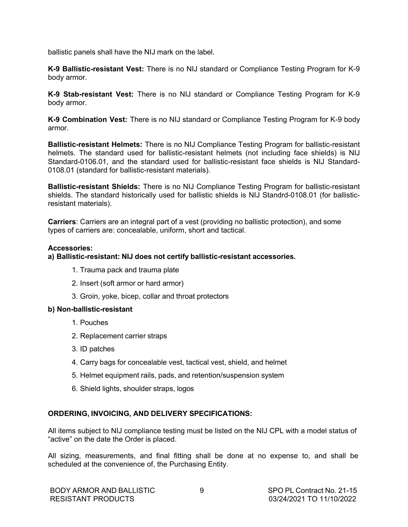<span id="page-10-0"></span>ballistic panels shall have the NIJ mark on the label.

**K-9 Ballistic-resistant Vest:** There is no NIJ standard or Compliance Testing Program for K-9 body armor.

**K-9 Stab-resistant Vest:** There is no NIJ standard or Compliance Testing Program for K-9 body armor.

**K-9 Combination Vest:** There is no NIJ standard or Compliance Testing Program for K-9 body armor.

**Ballistic-resistant Helmets:** There is no NIJ Compliance Testing Program for ballistic-resistant helmets. The standard used for ballistic-resistant helmets (not including face shields) is NIJ Standard-0106.01, and the standard used for ballistic-resistant face shields is NIJ Standard-0108.01 (standard for ballistic-resistant materials).

**Ballistic-resistant Shields:** There is no NIJ Compliance Testing Program for ballistic-resistant shields. The standard historically used for ballistic shields is NIJ Standrd-0108.01 (for ballisticresistant materials).

**Carriers**: Carriers are an integral part of a vest (providing no ballistic protection), and some types of carriers are: concealable, uniform, short and tactical.

#### **Accessories:**

#### **a) Ballistic-resistant: NIJ does not certify ballistic-resistant accessories.**

- 1. Trauma pack and trauma plate
- 2. Insert (soft armor or hard armor)
- 3. Groin, yoke, bicep, collar and throat protectors

#### **b) Non-ballistic-resistant**

- 1. Pouches
- 2. Replacement carrier straps
- 3. ID patches
- 4. Carry bags for concealable vest, tactical vest, shield, and helmet
- 5. Helmet equipment rails, pads, and retention/suspension system
- 6. Shield lights, shoulder straps, logos

#### **ORDERING, INVOICING, AND DELIVERY SPECIFICATIONS:**

All items subject to NIJ compliance testing must be listed on the NIJ CPL with a model status of "active" on the date the Order is placed.

All sizing, measurements, and final fitting shall be done at no expense to, and shall be scheduled at the convenience of, the Purchasing Entity.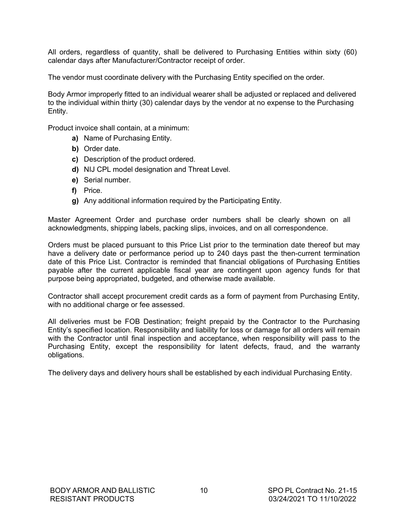All orders, regardless of quantity, shall be delivered to Purchasing Entities within sixty (60) calendar days after Manufacturer/Contractor receipt of order.

The vendor must coordinate delivery with the Purchasing Entity specified on the order.

Body Armor improperly fitted to an individual wearer shall be adjusted or replaced and delivered to the individual within thirty (30) calendar days by the vendor at no expense to the Purchasing Entity.

Product invoice shall contain, at a minimum:

- **a)** Name of Purchasing Entity.
- **b)** Order date.
- **c)** Description of the product ordered.
- **d)** NIJ CPL model designation and Threat Level.
- **e)** Serial number.
- **f)** Price.
- **g)** Any additional information required by the Participating Entity.

Master Agreement Order and purchase order numbers shall be clearly shown on all acknowledgments, shipping labels, packing slips, invoices, and on all correspondence.

Orders must be placed pursuant to this Price List prior to the termination date thereof but may have a delivery date or performance period up to 240 days past the then-current termination date of this Price List. Contractor is reminded that financial obligations of Purchasing Entities payable after the current applicable fiscal year are contingent upon agency funds for that purpose being appropriated, budgeted, and otherwise made available.

Contractor shall accept procurement credit cards as a form of payment from Purchasing Entity, with no additional charge or fee assessed.

All deliveries must be FOB Destination; freight prepaid by the Contractor to the Purchasing Entity's specified location. Responsibility and liability for loss or damage for all orders will remain with the Contractor until final inspection and acceptance, when responsibility will pass to the Purchasing Entity, except the responsibility for latent defects, fraud, and the warranty obligations.

The delivery days and delivery hours shall be established by each individual Purchasing Entity.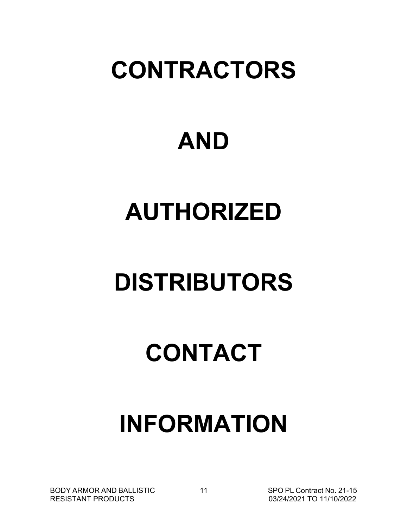# **CONTRACTORS**

# **AND**

# **AUTHORIZED**

# **DISTRIBUTORS**

# **CONTACT**

# **INFORMATION**

BODY ARMOR AND BALLISTIC RESISTANT PRODUCTS

11 SPO PL Contract No. 21-15 03/24/2021 TO 11/10/2022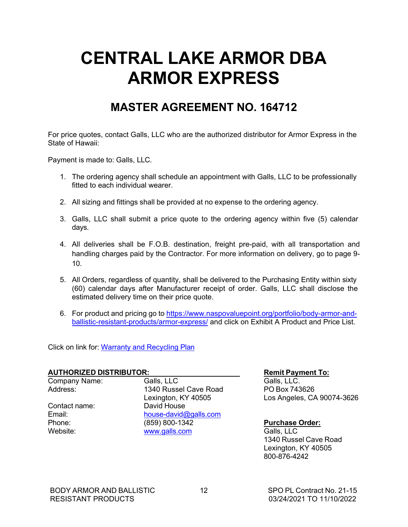# <span id="page-13-0"></span>**CENTRAL LAKE ARMOR DBA ARMOR EXPRESS**

### **MASTER AGREEMENT NO. 164712**

For price quotes, contact Galls, LLC who are the authorized distributor for Armor Express in the State of Hawaii:

Payment is made to: Galls, LLC.

- 1. The ordering agency shall schedule an appointment with Galls, LLC to be professionally fitted to each individual wearer.
- 2. All sizing and fittings shall be provided at no expense to the ordering agency.
- 3. Galls, LLC shall submit a price quote to the ordering agency within five (5) calendar days.
- 4. All deliveries shall be F.O.B. destination, freight pre-paid, with all transportation and handling charges paid by the Contractor. For more information on delivery, go to page 9- 10.
- 5. All Orders, regardless of quantity, shall be delivered to the Purchasing Entity within sixty (60) calendar days after Manufacturer receipt of order. Galls, LLC shall disclose the estimated delivery time on their price quote.
- 6. For product and pricing go to https:/[/www.naspovaluepoint.org/portfolio/body-armor-and](http://www.naspovaluepoint.org/portfolio/body-armor-and-)ballistic-resistant-products/armor-express/ and click on Exhibit A Product and Price List.

Click on link for: Warranty and Recycling Plan

## **AUTHORIZED DISTRIBUTOR:**<br>
Company Name: **Remit Payment To:**<br>
Galls. LLC.<br>
Galls. LLC.

Company Name:

Address: 1340 Russel Cave Road PO Box 743626 Contact name: David House<br>
Email: Contact name: Contact name and the bouse-david Email: [house-david@galls.com](mailto:house-david@galls.com)<br>
Phone: (859) 800-1342 Phone: (859) 800-1342 **Purchase Order:** [www.galls.com](http://www.galls.com/)

Lexington, KY 40505 Los Angeles, CA 90074-3626

1340 Russel Cave Road Lexington, KY 40505 800-876-4242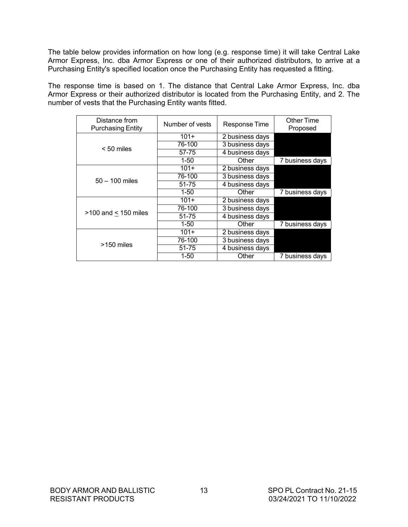The table below provides information on how long (e.g. response time) it will take Central Lake Armor Express, Inc. dba Armor Express or one of their authorized distributors, to arrive at a Purchasing Entity's specified location once the Purchasing Entity has requested a fitting.

The response time is based on 1. The distance that Central Lake Armor Express, Inc. dba Armor Express or their authorized distributor is located from the Purchasing Entity, and 2. The number of vests that the Purchasing Entity wants fitted.

| Distance from<br><b>Purchasing Entity</b> | Number of vests | Response Time   | Other Time<br>Proposed |
|-------------------------------------------|-----------------|-----------------|------------------------|
|                                           | $101+$          | 2 business days |                        |
|                                           | 76-100          | 3 business days |                        |
| $< 50$ miles                              | 57-75           | 4 business days |                        |
|                                           | $1 - 50$        | Other           | 7 business days        |
|                                           | $101+$          | 2 business days |                        |
| $50 - 100$ miles                          | 76-100          | 3 business days |                        |
|                                           | 51-75           | 4 business days |                        |
|                                           | $1 - 50$        | Other           | 7 business days        |
|                                           | $101+$          | 2 business days |                        |
|                                           | 76-100          | 3 business days |                        |
| $>100$ and $< 150$ miles                  | 51-75           | 4 business days |                        |
|                                           | $1 - 50$        | Other           | 7 business days        |
| >150 miles                                | $101+$          | 2 business days |                        |
|                                           | 76-100          | 3 business days |                        |
|                                           | $51 - 75$       | 4 business days |                        |
|                                           | $1 - 50$        | Other           | 7 business days        |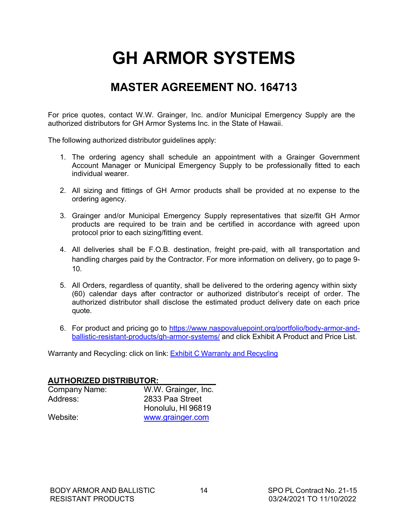# **GH ARMOR SYSTEMS**

## **MASTER AGREEMENT NO. 164713**

<span id="page-15-0"></span>For price quotes, contact W.W. Grainger, Inc. and/or Municipal Emergency Supply are the authorized distributors for GH Armor Systems Inc. in the State of Hawaii.

The following authorized distributor guidelines apply:

- 1. The ordering agency shall schedule an appointment with a Grainger Government Account Manager or Municipal Emergency Supply to be professionally fitted to each individual wearer.
- 2. All sizing and fittings of GH Armor products shall be provided at no expense to the ordering agency.
- 3. Grainger and/or Municipal Emergency Supply representatives that size/fit GH Armor products are required to be train and be certified in accordance with agreed upon protocol prior to each sizing/fitting event.
- 4. All deliveries shall be F.O.B. destination, freight pre-paid, with all transportation and handling charges paid by the Contractor. For more information on delivery, go to page 9- 10.
- 5. All Orders, regardless of quantity, shall be delivered to the ordering agency within sixty (60) calendar days after contractor or authorized distributor's receipt of order. The authorized distributor shall disclose the estimated product delivery date on each price quote.
- 6. For product and pricing go to https:/[/www.naspovaluepoint.org/portfolio/body-armor-and](http://www.naspovaluepoint.org/portfolio/body-armor-and-)ballistic-resistant-products/gh-armor-systems/ and click Exhibit A Product and Price List.

Warranty and Recycling: click on link: Exhibit C Warranty and Recycling

#### **AUTHORIZED DISTRIBUTOR:**

| Company Name: | W.W. Grainger, Inc. |
|---------------|---------------------|
| Address:      | 2833 Paa Street     |
|               | Honolulu, HI 96819  |
| Website:      | www.grainger.com    |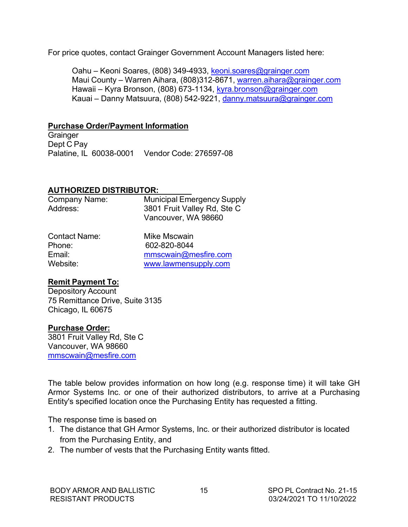For price quotes, contact Grainger Government Account Managers listed here:

Oahu – Keoni Soares, (808) 349-4933, [keoni.soares@grainger.com](mailto:keoni.soares@grainger.com) Maui County – Warren Aihara, (808)312-8671, [warren.aihara@grainger.com](mailto:warren.aihara@grainger.com) Hawaii – Kyra Bronson, (808) 673-1134, [kyra.bronson@grainger.com](mailto:kyra.bronson@grainger.com) Kauai – Danny Matsuura, (808) 542-9221, [danny.matsuura@grainger.com](mailto:danny.matsuura@grainger.com)

#### **Purchase Order/Payment Information**

**Grainger** Dept C Pay Palatine, IL 60038-0001 Vendor Code: 276597-08

#### **AUTHORIZED DISTRIBUTOR:**

| Company Name: | <b>Municipal Emergency Supply</b> |
|---------------|-----------------------------------|
| Address:      | 3801 Fruit Valley Rd, Ste C       |
|               | Vancouver, WA 98660               |
|               |                                   |

| Contact Name: | Mike Mscwain         |
|---------------|----------------------|
| Phone:        | 602-820-8044         |
| Email:        | mmscwain@mesfire.com |
| Website: \    | www.lawmensupply.com |

#### **Remit Payment To:**

Depository Account 75 Remittance Drive, Suite 3135 Chicago, IL 60675

#### **Purchase Order:**

3801 Fruit Valley Rd, Ste C Vancouver, WA 98660 [mmscwain@mesfire.com](mailto:mmscwain@mesfire.com)

The table below provides information on how long (e.g. response time) it will take GH Armor Systems Inc. or one of their authorized distributors, to arrive at a Purchasing Entity's specified location once the Purchasing Entity has requested a fitting.

The response time is based on

- 1. The distance that GH Armor Systems, Inc. or their authorized distributor is located from the Purchasing Entity, and
- 2. The number of vests that the Purchasing Entity wants fitted.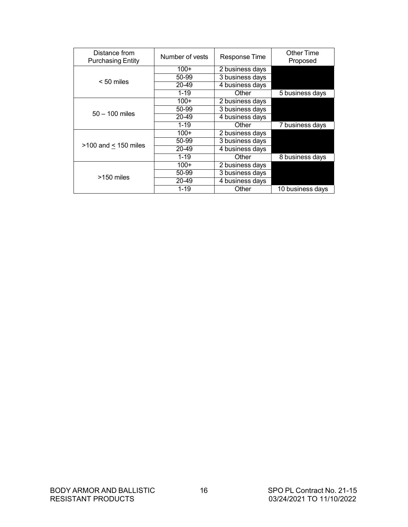| Distance from<br><b>Purchasing Entity</b> | Number of vests | Response Time   | <b>Other Time</b><br>Proposed |
|-------------------------------------------|-----------------|-----------------|-------------------------------|
|                                           | $100+$          | 2 business days |                               |
|                                           | 50-99           | 3 business days |                               |
| $< 50$ miles                              | 20-49           | 4 business days |                               |
|                                           | $1 - 19$        | Other           | 5 business days               |
|                                           | $100+$          | 2 business days |                               |
|                                           | 50-99           | 3 business days |                               |
| $50 - 100$ miles                          | 20-49           | 4 business days |                               |
|                                           | $1 - 19$        | Other           | 7 business days               |
|                                           | $100+$          | 2 business days |                               |
|                                           | 50-99           | 3 business days |                               |
| $>100$ and < 150 miles                    | 20-49           | 4 business days |                               |
|                                           | $1 - 19$        | Other           | 8 business days               |
| >150 miles                                | $100+$          | 2 business days |                               |
|                                           | 50-99           | 3 business days |                               |
|                                           | 20-49           | 4 business days |                               |
|                                           | $1 - 19$        | Other           | 10 business days              |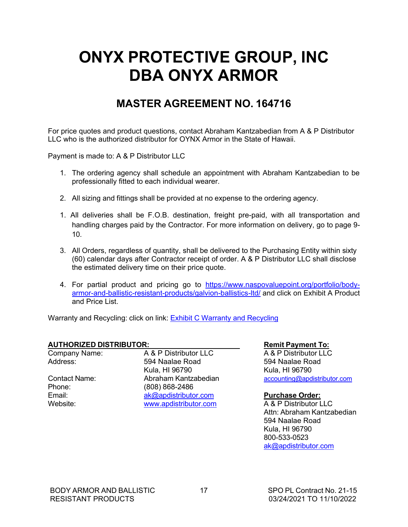# <span id="page-18-0"></span>**ONYX PROTECTIVE GROUP, INC DBA ONYX ARMOR**

### **MASTER AGREEMENT NO. 164716**

For price quotes and product questions, contact Abraham Kantzabedian from A & P Distributor LLC who is the authorized distributor for OYNX Armor in the State of Hawaii.

Payment is made to: A & P Distributor LLC

- 1. The ordering agency shall schedule an appointment with Abraham Kantzabedian to be professionally fitted to each individual wearer.
- 2. All sizing and fittings shall be provided at no expense to the ordering agency.
- 1. All deliveries shall be F.O.B. destination, freight pre-paid, with all transportation and handling charges paid by the Contractor. For more information on delivery, go to page 9- 10.
- 3. All Orders, regardless of quantity, shall be delivered to the Purchasing Entity within sixty (60) calendar days after Contractor receipt of order. A & P Distributor LLC shall disclose the estimated delivery time on their price quote.
- 4. For partial product and pricing go to https:/[/www.naspovaluepoint.org/portfolio/body](http://www.naspovaluepoint.org/portfolio/body-)armor-and-ballistic-resistant-products/galvion-ballistics-ltd/ and click on Exhibit A Product and Price List.

Warranty and Recycling: click on link: **Exhibit C Warranty and Recycling** 

## **AUTHORIZED DISTRIBUTOR:**<br>
Company Name: A & P Distributor LLC A & P Distributor LLC

Company Name:

Address: 594 Naalae Road 594 Naalae Road Kula, HI 96790<br>Abraham Kantzabedian (accounting and Phone: (808) 868-2486 Email: **[ak@apdistributor.com](mailto:ak@apdistributor.com) Purchase Order:**<br>
Website: www.apdistributor.com A&P Distributor LLC  $www. a$ pdistributor.com

Contact Name: Abraham Kantzabedian [accounting@apdistributor.com](mailto:accounting@apdistributor.com)

Attn: Abraham Kantzabedian 594 Naalae Road Kula, HI 96790 800-533-0523 [ak@apdistributor.com](mailto:ak@apdistributor.com)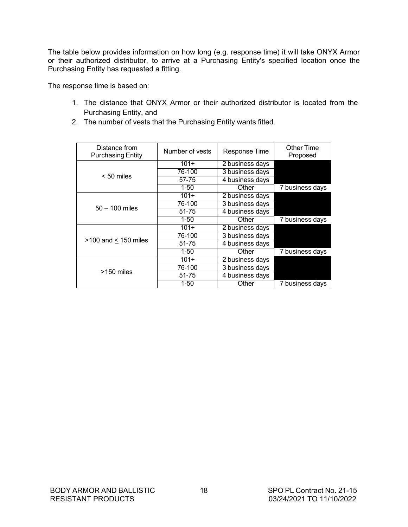The table below provides information on how long (e.g. response time) it will take ONYX Armor or their authorized distributor, to arrive at a Purchasing Entity's specified location once the Purchasing Entity has requested a fitting.

The response time is based on:

- 1. The distance that ONYX Armor or their authorized distributor is located from the Purchasing Entity, and
- 2. The number of vests that the Purchasing Entity wants fitted.

| Distance from<br><b>Purchasing Entity</b> | Number of vests | Response Time   | Other Time<br>Proposed |
|-------------------------------------------|-----------------|-----------------|------------------------|
|                                           | $101+$          | 2 business days |                        |
|                                           | 76-100          | 3 business days |                        |
| $< 50$ miles                              | 57-75           | 4 business days |                        |
|                                           | $1 - 50$        | Other           | 7 business days        |
|                                           | $101+$          | 2 business days |                        |
| $50 - 100$ miles                          | 76-100          | 3 business days |                        |
|                                           | 51-75           | 4 business days |                        |
|                                           | $1 - 50$        | Other           | 7 business days        |
|                                           | $101+$          | 2 business days |                        |
|                                           | 76-100          | 3 business days |                        |
| $>100$ and $< 150$ miles                  | 51-75           | 4 business days |                        |
|                                           | $1 - 50$        | Other           | 7 business days        |
| >150 miles                                | $101+$          | 2 business days |                        |
|                                           | 76-100          | 3 business days |                        |
|                                           | $51 - 75$       | 4 business days |                        |
|                                           | 1-50            | Other           | 7 business days        |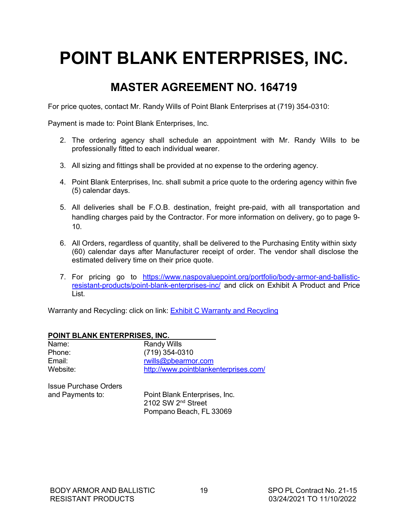# <span id="page-20-0"></span>**POINT BLANK ENTERPRISES, INC.**

## **MASTER AGREEMENT NO. 164719**

For price quotes, contact Mr. Randy Wills of Point Blank Enterprises at (719) 354-0310:

Payment is made to: Point Blank Enterprises, Inc.

- 2. The ordering agency shall schedule an appointment with Mr. Randy Wills to be professionally fitted to each individual wearer.
- 3. All sizing and fittings shall be provided at no expense to the ordering agency.
- 4. Point Blank Enterprises, Inc. shall submit a price quote to the ordering agency within five (5) calendar days.
- 5. All deliveries shall be F.O.B. destination, freight pre-paid, with all transportation and handling charges paid by the Contractor. For more information on delivery, go to page 9- 10.
- 6. All Orders, regardless of quantity, shall be delivered to the Purchasing Entity within sixty (60) calendar days after Manufacturer receipt of order. The vendor shall disclose the estimated delivery time on their price quote.
- 7. For pricing go to https:/[/www.naspovaluepoint.org/portfolio/body-armor-and-ballistic](http://www.naspovaluepoint.org/portfolio/body-armor-and-ballistic-)resistant-products/point-blank-enterprises-inc/ and click on Exhibit A Product and Price List.

Warranty and Recycling: click on link: **Exhibit C Warranty and Recycling** 

| POINT BLANK ENTERPRISES, INC.         |
|---------------------------------------|
| <b>Randy Wills</b>                    |
| $(719)$ 354-0310                      |
| rwills@pbearmor.com                   |
| http://www.pointblankenterprises.com/ |
|                                       |
|                                       |

Issue Purchase Orders

and Payments to: Point Blank Enterprises, Inc. 2102 SW 2nd Street Pompano Beach, FL 33069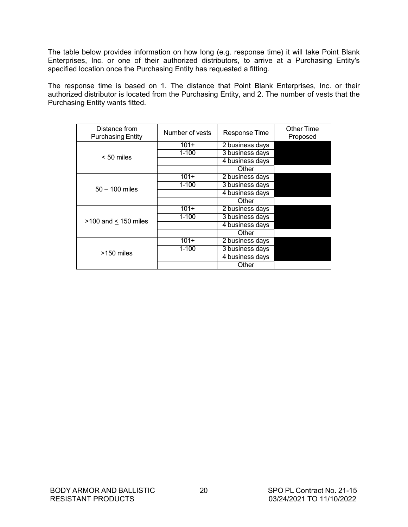The table below provides information on how long (e.g. response time) it will take Point Blank Enterprises, Inc. or one of their authorized distributors, to arrive at a Purchasing Entity's specified location once the Purchasing Entity has requested a fitting.

The response time is based on 1. The distance that Point Blank Enterprises, Inc. or their authorized distributor is located from the Purchasing Entity, and 2. The number of vests that the Purchasing Entity wants fitted.

| Distance from<br><b>Purchasing Entity</b> | Number of vests | Response Time   | Other Time<br>Proposed |
|-------------------------------------------|-----------------|-----------------|------------------------|
|                                           | $101+$          | 2 business days |                        |
|                                           | $1 - 100$       | 3 business days |                        |
| $< 50$ miles                              |                 | 4 business days |                        |
|                                           |                 | Other           |                        |
|                                           | $101+$          | 2 business days |                        |
| $50 - 100$ miles                          | $1 - 100$       | 3 business days |                        |
|                                           |                 | 4 business days |                        |
|                                           |                 | Other           |                        |
|                                           | $101+$          | 2 business days |                        |
|                                           | $1 - 100$       | 3 business days |                        |
| $>100$ and < 150 miles                    |                 | 4 business days |                        |
|                                           |                 | Other           |                        |
|                                           | $101+$          | 2 business days |                        |
|                                           | $1 - 100$       | 3 business days |                        |
| $>150$ miles                              |                 | 4 business days |                        |
|                                           |                 | Other           |                        |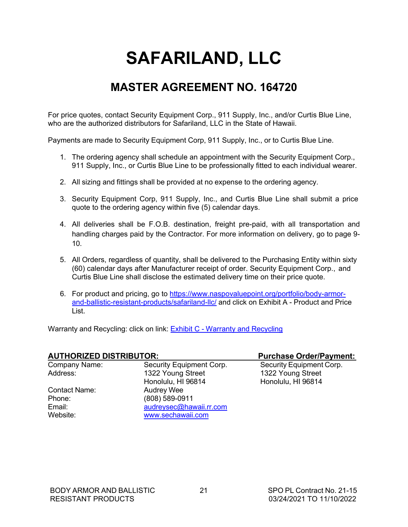# **SAFARILAND, LLC**

## **MASTER AGREEMENT NO. 164720**

<span id="page-22-0"></span>For price quotes, contact Security Equipment Corp., 911 Supply, Inc., and/or Curtis Blue Line, who are the authorized distributors for Safariland, LLC in the State of Hawaii.

Payments are made to Security Equipment Corp, 911 Supply, Inc., or to Curtis Blue Line.

- 1. The ordering agency shall schedule an appointment with the Security Equipment Corp., 911 Supply, Inc., or Curtis Blue Line to be professionally fitted to each individual wearer.
- 2. All sizing and fittings shall be provided at no expense to the ordering agency.
- 3. Security Equipment Corp, 911 Supply, Inc., and Curtis Blue Line shall submit a price quote to the ordering agency within five (5) calendar days.
- 4. All deliveries shall be F.O.B. destination, freight pre-paid, with all transportation and handling charges paid by the Contractor. For more information on delivery, go to page 9- 10.
- 5. All Orders, regardless of quantity, shall be delivered to the Purchasing Entity within sixty (60) calendar days after Manufacturer receipt of order. Security Equipment Corp., and Curtis Blue Line shall disclose the estimated delivery time on their price quote.
- 6. For product and pricing, go to https:/[/www.naspovaluepoint.org/portfolio/body-armor](http://www.naspovaluepoint.org/portfolio/body-armor-)and-ballistic-resistant-products/safariland-llc/ and click on Exhibit A - Product and Price List.

Warranty and Recycling: click on link: **Exhibit C - Warranty and Recycling** 

| <b>AUTHORIZED DISTRIBUTOR:</b> |                          | <b>Purchase Order/Payment:</b> |
|--------------------------------|--------------------------|--------------------------------|
| Company Name:                  | Security Equipment Corp. | Security Equipment Corp.       |
| Address:                       | 1322 Young Street        | 1322 Young Street              |
|                                | Honolulu, HI 96814       | Honolulu, HI 96814             |
| Contact Name:                  | <b>Audrey Wee</b>        |                                |
| Phone:                         | (808) 589-0911           |                                |
| Email:                         | audreysec@hawaii.rr.com  |                                |
| Website:                       | www.sechawaii.com        |                                |
|                                |                          |                                |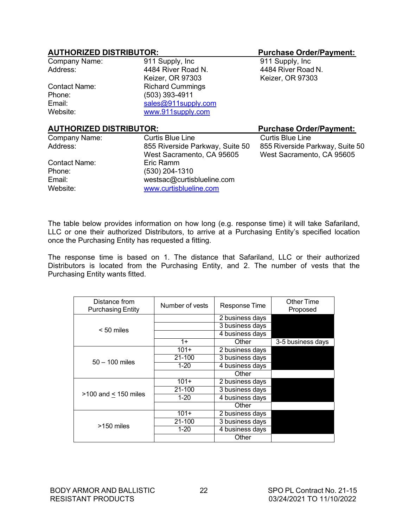#### **AUTHORIZED DISTRIBUTOR: Purchase Order/Payment:**

| Company Name:                  | 911 Supply, Inc.                | 911 Supply, Inc.                |
|--------------------------------|---------------------------------|---------------------------------|
| Address:                       | 4484 River Road N.              | 4484 River Road N.              |
|                                | Keizer, OR 97303                | Keizer, OR 97303                |
| <b>Contact Name:</b>           | <b>Richard Cummings</b>         |                                 |
| Phone:                         | (503) 393-4911                  |                                 |
| Email:                         | sales@911supply.com             |                                 |
| Website:                       | www.911supply.com               |                                 |
|                                |                                 |                                 |
| <b>AUTHORIZED DISTRIBUTOR:</b> |                                 | <b>Purchase Order/Payment:</b>  |
| Company Name:                  | <b>Curtis Blue Line</b>         | <b>Curtis Blue Line</b>         |
| Address:                       | 855 Riverside Parkway, Suite 50 | 855 Riverside Parkway, Suite 50 |
|                                | West Sacramento, CA 95605       | West Sacramento, CA 95605       |
|                                |                                 |                                 |
| <b>Contact Name:</b>           | Eric Ramm                       |                                 |
| Phone:                         | (530) 204-1310                  |                                 |
| Email:                         | westsac@curtisblueline.com      |                                 |
| Website:                       | www.curtisblueline.com          |                                 |

The table below provides information on how long (e.g. response time) it will take Safariland, LLC or one their authorized Distributors, to arrive at a Purchasing Entity's specified location once the Purchasing Entity has requested a fitting.

The response time is based on 1. The distance that Safariland, LLC or their authorized Distributors is located from the Purchasing Entity, and 2. The number of vests that the Purchasing Entity wants fitted.

| Distance from<br><b>Purchasing Entity</b> | Number of vests | Response Time   | Other Time<br>Proposed |
|-------------------------------------------|-----------------|-----------------|------------------------|
|                                           |                 | 2 business days |                        |
|                                           |                 | 3 business days |                        |
| $< 50$ miles                              |                 | 4 business days |                        |
|                                           | $1+$            | Other           | 3-5 business days      |
|                                           | $101+$          | 2 business days |                        |
|                                           | 21-100          | 3 business days |                        |
| $50 - 100$ miles                          | $1 - 20$        | 4 business days |                        |
|                                           |                 | Other           |                        |
|                                           | $101+$          | 2 business days |                        |
|                                           | $21 - 100$      | 3 business days |                        |
| $>100$ and < 150 miles                    | $1 - 20$        | 4 business days |                        |
|                                           |                 | Other           |                        |
|                                           | $101+$          | 2 business days |                        |
|                                           | 21-100          | 3 business days |                        |
| >150 miles                                | $1 - 20$        | 4 business days |                        |
|                                           |                 | Other           |                        |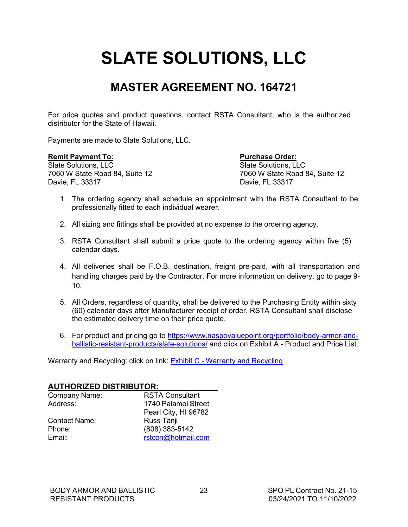# <span id="page-24-0"></span>**SLATE SOLUTIONS, LLC**

## **MASTER AGREEMENT NO. 164721**

For price quotes and product questions, contact RSTA Consultant, who is the authorized distributor for the State of Hawaii.

Payments are made to Slate Solutions, LLC.

7060 W State Road 84, Suite 12 7060 W State Road 84, Suite 12 Davie, FL 33317 Davie, FL 33317

**Remit Payment To:**<br> **Purchase Order:**<br> **Slate Solutions. LLC**<br> **Purchase Order:**<br> **Slate Solutions. LLC** Slate Solutions, LLC

- 1. The ordering agency shall schedule an appointment with the RSTA Consultant to be professionally fitted to each individual wearer.
- 2. All sizing and fittings shall be provided at no expense to the ordering agency.
- 3. RSTA Consultant shall submit a price quote to the ordering agency within five (5) calendar days.
- 4. All deliveries shall be F.O.B. destination, freight pre-paid, with all transportation and handling charges paid by the Contractor. For more information on delivery, go to page 9- 10.
- 5. All Orders, regardless of quantity, shall be delivered to the Purchasing Entity within sixty (60) calendar days after Manufacturer receipt of order. RSTA Consultant shall disclose the estimated delivery time on their price quote.
- 6. For product and pricing go to https:/[/www.naspovaluepoint.org/portfolio/body-armor-and](http://www.naspovaluepoint.org/portfolio/body-armor-and-)ballistic-resistant-products/slate-solutions/ and click on Exhibit A - Product and Price List.

Warranty and Recycling: click on link: Exhibit C - Warranty and Recycling

#### **AUTHORIZED DISTRIBUTOR:**

| Company Name:        | <b>RSTA Consultant</b> |
|----------------------|------------------------|
| Address:             | 1740 Palamoi Street    |
|                      | Pearl City, HI 96782   |
| <b>Contact Name:</b> | Russ Tanji             |
| Phone:               | (808) 383-5142         |
| Email:               | rstcon@hotmail.com     |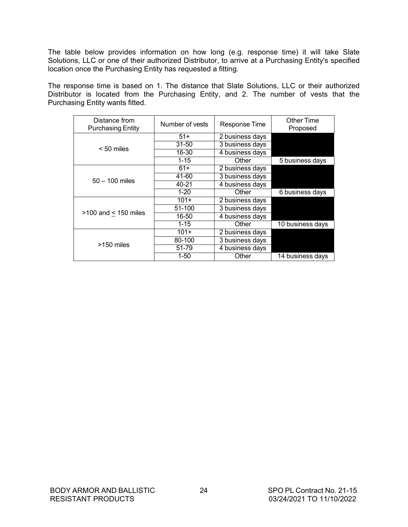The table below provides information on how long (e.g. response time) it will take Slate Solutions, LLC or one of their authorized Distributor, to arrive at a Purchasing Entity's specified location once the Purchasing Entity has requested a fitting.

The response time is based on 1. The distance that Slate Solutions, LLC or their authorized Distributor is located from the Purchasing Entity, and 2. The number of vests that the Purchasing Entity wants fitted.

| Distance from<br><b>Purchasing Entity</b> | Number of vests | Response Time   | Other Time<br>Proposed |
|-------------------------------------------|-----------------|-----------------|------------------------|
|                                           | $51+$           | 2 business days |                        |
|                                           | $31 - 50$       | 3 business days |                        |
| $< 50$ miles                              | 16-30           | 4 business days |                        |
|                                           | $1 - 15$        | Other           | 5 business days        |
|                                           | $61+$           | 2 business days |                        |
|                                           | 41-60           | 3 business days |                        |
| $50 - 100$ miles                          | 40-21           | 4 business days |                        |
|                                           | $1 - 20$        | Other           | 6 business days        |
|                                           | $101+$          | 2 business days |                        |
|                                           | 51-100          | 3 business days |                        |
| $>100$ and < 150 miles                    | 16-50           | 4 business days |                        |
|                                           | $1 - 15$        | Other           | 10 business days       |
|                                           | $101+$          | 2 business days |                        |
| >150 miles                                | 80-100          | 3 business days |                        |
|                                           | 51-79           | 4 business days |                        |
|                                           | 1-50            | Other           | 14 business days       |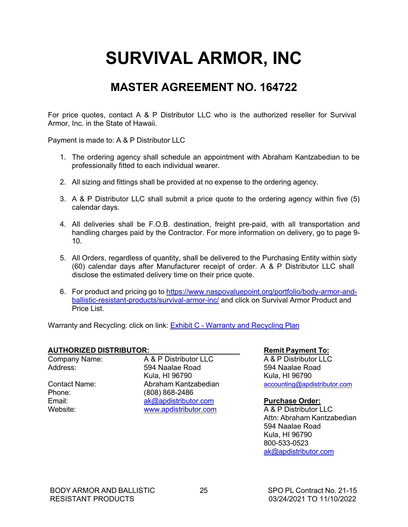# <span id="page-26-0"></span>**SURVIVAL ARMOR, INC**

## **MASTER AGREEMENT NO. 164722**

For price quotes, contact A & P Distributor LLC who is the authorized reseller for Survival Armor, Inc. in the State of Hawaii.

Payment is made to: A & P Distributor LLC

- 1. The ordering agency shall schedule an appointment with Abraham Kantzabedian to be professionally fitted to each individual wearer.
- 2. All sizing and fittings shall be provided at no expense to the ordering agency.
- 3. A & P Distributor LLC shall submit a price quote to the ordering agency within five (5) calendar days.
- 4. All deliveries shall be F.O.B. destination, freight pre-paid, with all transportation and handling charges paid by the Contractor. For more information on delivery, go to page 9- 10.
- 5. All Orders, regardless of quantity, shall be delivered to the Purchasing Entity within sixty (60) calendar days after Manufacturer receipt of order. A & P Distributor LLC shall disclose the estimated delivery time on their price quote.
- 6. For product and pricing go to https:/[/www.naspovaluepoint.org/portfolio/body-armor-and](http://www.naspovaluepoint.org/portfolio/body-armor-and-)ballistic-resistant-products/survival-armor-inc/ and click on Survival Armor Product and Price List.

Warranty and Recycling: click on link: **Exhibit C - Warranty and Recycling Plan** 

# **AUTHORIZED DISTRIBUTOR: Remit Payment To:**

Company Name: A & P Distributor LLC<br>Address: 594 Naalae Road

Kula, HI 96790<br>Abraham Kantzabedian (accounting and Phone: (808) 868-2486<br>
Fmail: ak@andistributo Email: **[ak@apdistributor.com](mailto:ak@apdistributor.com) Purchase Order:**<br>
Website: www.apdistributor.com A&P Distributor IIC [www.apdistributor.com](http://www.apdistributor.com/)

Address: 594 Naalae Road 594 Naalae Road Contact Name: Abraham Kantzabedian [accounting@apdistributor.com](mailto:accounting@apdistributor.com)

Attn: Abraham Kantzabedian 594 Naalae Road Kula, HI 96790 800-533-0523 [ak@apdistributor.com](mailto:ak@apdistributor.com)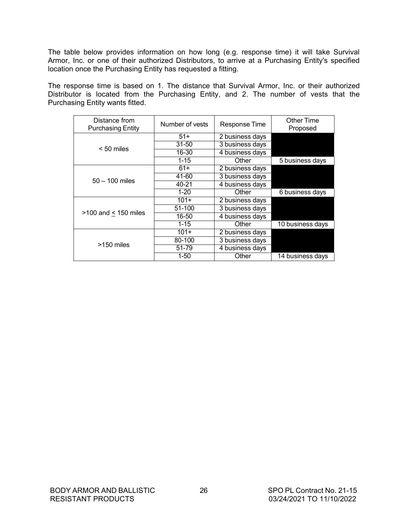The table below provides information on how long (e.g. response time) it will take Survival Armor, Inc. or one of their authorized Distributors, to arrive at a Purchasing Entity's specified location once the Purchasing Entity has requested a fitting.

The response time is based on 1. The distance that Survival Armor, Inc. or their authorized Distributor is located from the Purchasing Entity, and 2. The number of vests that the Purchasing Entity wants fitted.

| Distance from<br><b>Purchasing Entity</b> | Number of vests | Response Time   | Other Time<br>Proposed |
|-------------------------------------------|-----------------|-----------------|------------------------|
|                                           | $51+$           | 2 business days |                        |
|                                           | $31 - 50$       | 3 business days |                        |
| $< 50$ miles                              | 16-30           | 4 business days |                        |
|                                           | $1 - 15$        | Other           | 5 business days        |
|                                           | $61+$           | 2 business days |                        |
|                                           | 41-60           | 3 business days |                        |
| $50 - 100$ miles                          | 40-21           | 4 business days |                        |
|                                           | $1 - 20$        | Other           | 6 business days        |
|                                           | $101+$          | 2 business days |                        |
|                                           | 51-100          | 3 business days |                        |
| $>100$ and < 150 miles                    | 16-50           | 4 business days |                        |
|                                           | $1 - 15$        | Other           | 10 business days       |
|                                           | $101+$          | 2 business days |                        |
| >150 miles                                | 80-100          | 3 business days |                        |
|                                           | 51-79           | 4 business days |                        |
|                                           | 1-50            | Other           | 14 business days       |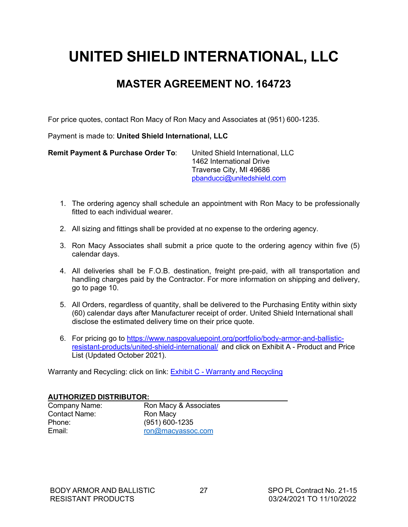# <span id="page-28-0"></span>**UNITED SHIELD INTERNATIONAL, LLC**

### **MASTER AGREEMENT NO. 164723**

For price quotes, contact Ron Macy of Ron Macy and Associates at (951) 600-1235.

Payment is made to: **United Shield International, LLC**

**Remit Payment & Purchase Order To**: United Shield International, LLC 1462 International Drive Traverse City, MI 49686 [pbanducci@unitedshield.com](mailto:pbanducci@unitedshield.com)

- 1. The ordering agency shall schedule an appointment with Ron Macy to be professionally fitted to each individual wearer.
- 2. All sizing and fittings shall be provided at no expense to the ordering agency.
- 3. Ron Macy Associates shall submit a price quote to the ordering agency within five (5) calendar days.
- 4. All deliveries shall be F.O.B. destination, freight pre-paid, with all transportation and handling charges paid by the Contractor. For more information on shipping and delivery, go to page 10.
- 5. All Orders, regardless of quantity, shall be delivered to the Purchasing Entity within sixty (60) calendar days after Manufacturer receipt of order. United Shield International shall disclose the estimated delivery time on their price quote.
- 6. For pricing go to https:/[/www.naspovaluepoint.org/portfolio/body-armor-and-ballistic](http://www.naspovaluepoint.org/portfolio/body-armor-and-ballistic-)resistant-products/united-shield-international/ and click on Exhibit A - Product and Price List (Updated October 2021).

Warranty and Recycling: click on link: Exhibit C - Warranty and Recycling

#### **AUTHORIZED DISTRIBUTOR:**

| Company Nam          |
|----------------------|
| <b>Contact Name:</b> |
| Phone:               |
| Email:               |
|                      |

e: Ron Macy & Associates Ron Macy (951) 600-1235 [ron@macyassoc.com](mailto:ron@macyassoc.com)